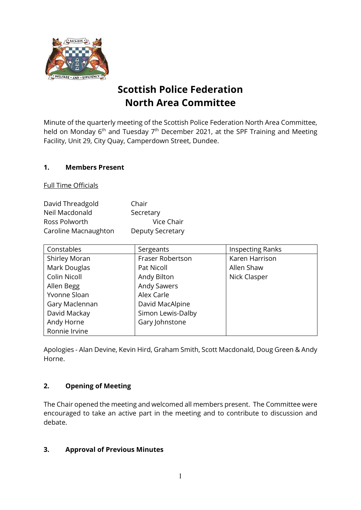

# **Scottish Police Federation North Area Committee**

Minute of the quarterly meeting of the Scottish Police Federation North Area Committee, held on Monday  $6<sup>th</sup>$  and Tuesday  $7<sup>th</sup>$  December 2021, at the SPF Training and Meeting Facility, Unit 29, City Quay, Camperdown Street, Dundee.

## **1. Members Present**

Full Time Officials

| David Threadgold     | Chair            |
|----------------------|------------------|
| Neil Macdonald       | Secretary        |
| Ross Polworth        | Vice Chair       |
| Caroline Macnaughton | Deputy Secretary |

| Constables           | Sergeants          | <b>Inspecting Ranks</b> |
|----------------------|--------------------|-------------------------|
| <b>Shirley Moran</b> | Fraser Robertson   | Karen Harrison          |
| Mark Douglas         | Pat Nicoll         | Allen Shaw              |
| Colin Nicoll         | Andy Bilton        | Nick Clasper            |
| Allen Begg           | <b>Andy Sawers</b> |                         |
| Yvonne Sloan         | Alex Carle         |                         |
| Gary Maclennan       | David MacAlpine    |                         |
| David Mackay         | Simon Lewis-Dalby  |                         |
| Andy Horne           | Gary Johnstone     |                         |
| Ronnie Irvine        |                    |                         |

Apologies - Alan Devine, Kevin Hird, Graham Smith, Scott Macdonald, Doug Green & Andy Horne.

## **2. Opening of Meeting**

The Chair opened the meeting and welcomed all members present. The Committee were encouraged to take an active part in the meeting and to contribute to discussion and debate.

## **3. Approval of Previous Minutes**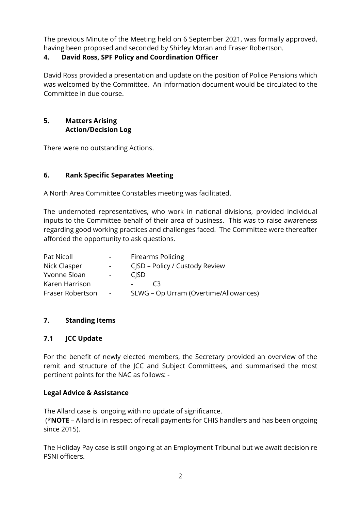The previous Minute of the Meeting held on 6 September 2021, was formally approved, having been proposed and seconded by Shirley Moran and Fraser Robertson.

# **4. David Ross, SPF Policy and Coordination Officer**

David Ross provided a presentation and update on the position of Police Pensions which was welcomed by the Committee. An Information document would be circulated to the Committee in due course.

## **5. Matters Arising Action/Decision Log**

There were no outstanding Actions.

# **6. Rank Specific Separates Meeting**

A North Area Committee Constables meeting was facilitated.

The undernoted representatives, who work in national divisions, provided individual inputs to the Committee behalf of their area of business. This was to raise awareness regarding good working practices and challenges faced. The Committee were thereafter afforded the opportunity to ask questions.

| Pat Nicoll       | $\sim 100$       | <b>Firearms Policing</b>              |
|------------------|------------------|---------------------------------------|
| Nick Clasper     | $\sim 100$       | CJSD – Policy / Custody Review        |
| Yvonne Sloan     | $\sim$ 100 $\mu$ | <b>CISD</b>                           |
| Karen Harrison   |                  | C3<br>$\sim 100$                      |
| Fraser Robertson | $\sim$           | SLWG - Op Urram (Overtime/Allowances) |

# **7. Standing Items**

# **7.1 JCC Update**

For the benefit of newly elected members, the Secretary provided an overview of the remit and structure of the JCC and Subject Committees, and summarised the most pertinent points for the NAC as follows: -

# **Legal Advice & Assistance**

The Allard case is ongoing with no update of significance.

(\***NOTE** – Allard is in respect of recall payments for CHIS handlers and has been ongoing since 2015).

The Holiday Pay case is still ongoing at an Employment Tribunal but we await decision re PSNI officers.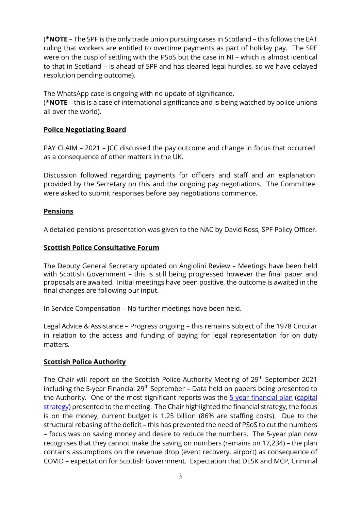(**\*NOTE** – The SPF is the only trade union pursuing cases in Scotland – this follows the EAT ruling that workers are entitled to overtime payments as part of holiday pay. The SPF were on the cusp of settling with the PSoS but the case in NI – which is almost identical to that in Scotland – is ahead of SPF and has cleared legal hurdles, so we have delayed resolution pending outcome).

The WhatsApp case is ongoing with no update of significance.

(**\*NOTE** – this is a case of international significance and is being watched by police unions all over the world).

## **Police Negotiating Board**

PAY CLAIM – 2021 – JCC discussed the pay outcome and change in focus that occurred as a consequence of other matters in the UK.

Discussion followed regarding payments for officers and staff and an explanation provided by the Secretary on this and the ongoing pay negotiations. The Committee were asked to submit responses before pay negotiations commence.

## **Pensions**

A detailed pensions presentation was given to the NAC by David Ross, SPF Policy Officer.

## **Scottish Police Consultative Forum**

The Deputy General Secretary updated on Angiolini Review – Meetings have been held with Scottish Government – this is still being progressed however the final paper and proposals are awaited. Initial meetings have been positive, the outcome is awaited in the final changes are following our input.

In Service Compensation – No further meetings have been held.

Legal Advice & Assistance – Progress ongoing – this remains subject of the 1978 Circular in relation to the access and funding of paying for legal representation for on duty matters.

## **Scottish Police Authority**

The Chair will report on the Scottish Police Authority Meeting of 29<sup>th</sup> September 2021 including the 5-year Financial 29<sup>th</sup> September – Data held on papers being presented to the Authority. One of the most significant reports was the [5 year financial plan](https://www.spa.police.uk/spa-media/sczj0qwa/rep-b-20210917-item-6-five-year-financial-plan.pdf) [\(capital](https://www.spa.police.uk/spa-media/ijsnjaks/rep-b-20210917-item-7-capital-strategy.pdf)  [strategy\)](https://www.spa.police.uk/spa-media/ijsnjaks/rep-b-20210917-item-7-capital-strategy.pdf) presented to the meeting. The Chair highlighted the financial strategy, the focus is on the money, current budget is 1.25 billion (86% are staffing costs). Due to the structural rebasing of the deficit – this has prevented the need of PSoS to cut the numbers – focus was on saving money and desire to reduce the numbers. The 5-year plan now recognises that they cannot make the saving on numbers (remains on 17,234) – the plan contains assumptions on the revenue drop (event recovery, airport) as consequence of COVID – expectation for Scottish Government. Expectation that DESK and MCP, Criminal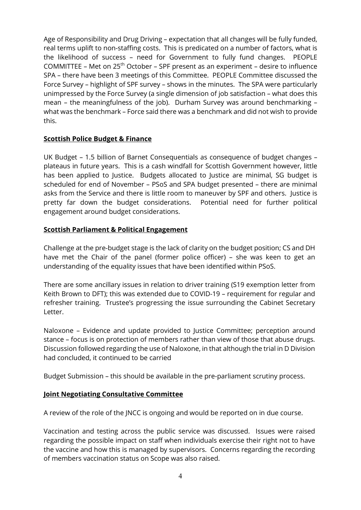Age of Responsibility and Drug Driving – expectation that all changes will be fully funded, real terms uplift to non-staffing costs. This is predicated on a number of factors, what is the likelihood of success – need for Government to fully fund changes. PEOPLE COMMITTEE – Met on 25th October – SPF present as an experiment – desire to influence SPA – there have been 3 meetings of this Committee. PEOPLE Committee discussed the Force Survey – highlight of SPF survey – shows in the minutes. The SPA were particularly unimpressed by the Force Survey (a single dimension of job satisfaction – what does this mean – the meaningfulness of the job). Durham Survey was around benchmarking – what was the benchmark – Force said there was a benchmark and did not wish to provide this.

#### **Scottish Police Budget & Finance**

UK Budget – 1.5 billion of Barnet Consequentials as consequence of budget changes – plateaus in future years. This is a cash windfall for Scottish Government however, little has been applied to Justice. Budgets allocated to Justice are minimal, SG budget is scheduled for end of November – PSoS and SPA budget presented – there are minimal asks from the Service and there is little room to maneuver by SPF and others. Justice is pretty far down the budget considerations. Potential need for further political engagement around budget considerations.

#### **Scottish Parliament & Political Engagement**

Challenge at the pre-budget stage is the lack of clarity on the budget position; CS and DH have met the Chair of the panel (former police officer) – she was keen to get an understanding of the equality issues that have been identified within PSoS.

There are some ancillary issues in relation to driver training (S19 exemption letter from Keith Brown to DFT); this was extended due to COVID-19 – requirement for regular and refresher training. Trustee's progressing the issue surrounding the Cabinet Secretary Letter.

Naloxone – Evidence and update provided to Justice Committee; perception around stance – focus is on protection of members rather than view of those that abuse drugs. Discussion followed regarding the use of Naloxone, in that although the trial in D Division had concluded, it continued to be carried

Budget Submission – this should be available in the pre-parliament scrutiny process.

#### **Joint Negotiating Consultative Committee**

A review of the role of the JNCC is ongoing and would be reported on in due course.

Vaccination and testing across the public service was discussed. Issues were raised regarding the possible impact on staff when individuals exercise their right not to have the vaccine and how this is managed by supervisors. Concerns regarding the recording of members vaccination status on Scope was also raised.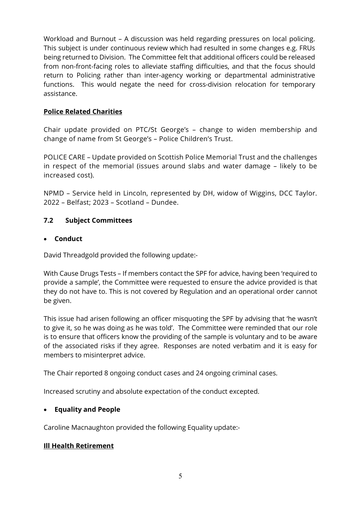Workload and Burnout – A discussion was held regarding pressures on local policing. This subject is under continuous review which had resulted in some changes e.g. FRUs being returned to Division. The Committee felt that additional officers could be released from non-front-facing roles to alleviate staffing difficulties, and that the focus should return to Policing rather than inter-agency working or departmental administrative functions. This would negate the need for cross-division relocation for temporary assistance.

#### **Police Related Charities**

Chair update provided on PTC/St George's – change to widen membership and change of name from St George's – Police Children's Trust.

POLICE CARE – Update provided on Scottish Police Memorial Trust and the challenges in respect of the memorial (issues around slabs and water damage – likely to be increased cost).

NPMD – Service held in Lincoln, represented by DH, widow of Wiggins, DCC Taylor. 2022 – Belfast; 2023 – Scotland – Dundee.

#### **7.2 Subject Committees**

#### • **Conduct**

David Threadgold provided the following update:-

With Cause Drugs Tests – If members contact the SPF for advice, having been 'required to provide a sample', the Committee were requested to ensure the advice provided is that they do not have to. This is not covered by Regulation and an operational order cannot be given.

This issue had arisen following an officer misquoting the SPF by advising that 'he wasn't to give it, so he was doing as he was told'. The Committee were reminded that our role is to ensure that officers know the providing of the sample is voluntary and to be aware of the associated risks if they agree. Responses are noted verbatim and it is easy for members to misinterpret advice.

The Chair reported 8 ongoing conduct cases and 24 ongoing criminal cases.

Increased scrutiny and absolute expectation of the conduct excepted.

#### • **Equality and People**

Caroline Macnaughton provided the following Equality update:-

#### **Ill Health Retirement**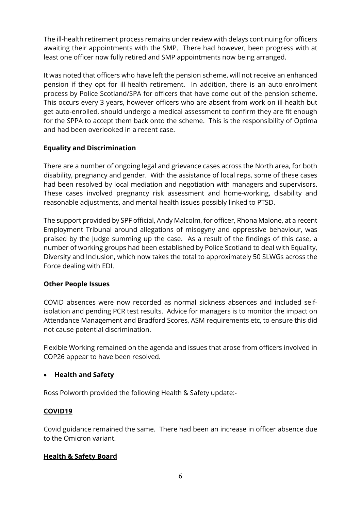The ill-health retirement process remains under review with delays continuing for officers awaiting their appointments with the SMP. There had however, been progress with at least one officer now fully retired and SMP appointments now being arranged.

It was noted that officers who have left the pension scheme, will not receive an enhanced pension if they opt for ill-health retirement. In addition, there is an auto-enrolment process by Police Scotland/SPA for officers that have come out of the pension scheme. This occurs every 3 years, however officers who are absent from work on ill-health but get auto-enrolled, should undergo a medical assessment to confirm they are fit enough for the SPPA to accept them back onto the scheme. This is the responsibility of Optima and had been overlooked in a recent case.

## **Equality and Discrimination**

There are a number of ongoing legal and grievance cases across the North area, for both disability, pregnancy and gender. With the assistance of local reps, some of these cases had been resolved by local mediation and negotiation with managers and supervisors. These cases involved pregnancy risk assessment and home-working, disability and reasonable adjustments, and mental health issues possibly linked to PTSD.

The support provided by SPF official, Andy Malcolm, for officer, Rhona Malone, at a recent Employment Tribunal around allegations of misogyny and oppressive behaviour, was praised by the Judge summing up the case. As a result of the findings of this case, a number of working groups had been established by Police Scotland to deal with Equality, Diversity and Inclusion, which now takes the total to approximately 50 SLWGs across the Force dealing with EDI.

## **Other People Issues**

COVID absences were now recorded as normal sickness absences and included selfisolation and pending PCR test results. Advice for managers is to monitor the impact on Attendance Management and Bradford Scores, ASM requirements etc, to ensure this did not cause potential discrimination.

Flexible Working remained on the agenda and issues that arose from officers involved in COP26 appear to have been resolved.

## • **Health and Safety**

Ross Polworth provided the following Health & Safety update:-

## **COVID19**

Covid guidance remained the same. There had been an increase in officer absence due to the Omicron variant.

## **Health & Safety Board**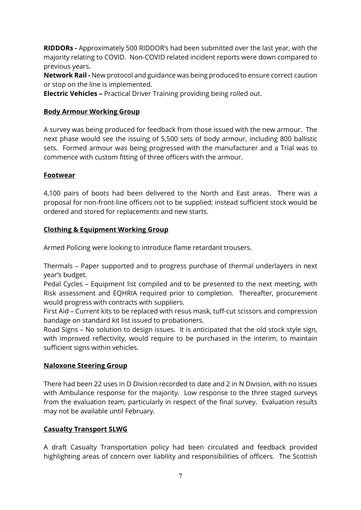**RIDDORs -** Approximately 500 RIDDOR's had been submitted over the last year, with the majority relating to COVID. Non-COVID related incident reports were down compared to previous years.

**Network Rail -** New protocol and guidance was being produced to ensure correct caution or stop on the line is implemented.

**Electric Vehicles –** Practical Driver Training providing being rolled out.

## **Body Armour Working Group**

A survey was being produced for feedback from those issued with the new armour. The next phase would see the issuing of 5,500 sets of body armour, including 800 ballistic sets. Formed armour was being progressed with the manufacturer and a Trial was to commence with custom fitting of three officers with the armour.

## **Footwear**

4,100 pairs of boots had been delivered to the North and East areas. There was a proposal for non-front-line officers not to be supplied; instead sufficient stock would be ordered and stored for replacements and new starts.

## **Clothing & Equipment Working Group**

Armed Policing were looking to introduce flame retardant trousers.

Thermals – Paper supported and to progress purchase of thermal underlayers in next year's budget.

Pedal Cycles – Equipment list compiled and to be presented to the next meeting, with Risk assessment and EQHRIA required prior to completion. Thereafter, procurement would progress with contracts with suppliers.

First Aid – Current kits to be replaced with resus mask, tuff-cut scissors and compression bandage on standard kit list issued to probationers.

Road Signs – No solution to design issues. It is anticipated that the old stock style sign, with improved reflectivity, would require to be purchased in the interim, to maintain sufficient signs within vehicles.

## **Naloxone Steering Group**

There had been 22 uses in D Division recorded to date and 2 in N Division, with no issues with Ambulance response for the majority. Low response to the three staged surveys from the evaluation team, particularly in respect of the final survey. Evaluation results may not be available until February.

## **Casualty Transport SLWG**

A draft Casualty Transportation policy had been circulated and feedback provided highlighting areas of concern over liability and responsibilities of officers. The Scottish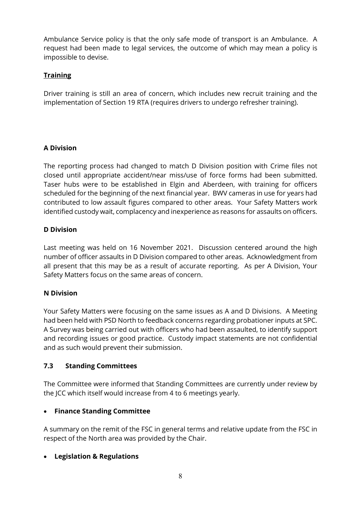Ambulance Service policy is that the only safe mode of transport is an Ambulance. A request had been made to legal services, the outcome of which may mean a policy is impossible to devise.

# **Training**

Driver training is still an area of concern, which includes new recruit training and the implementation of Section 19 RTA (requires drivers to undergo refresher training).

# **A Division**

The reporting process had changed to match D Division position with Crime files not closed until appropriate accident/near miss/use of force forms had been submitted. Taser hubs were to be established in Elgin and Aberdeen, with training for officers scheduled for the beginning of the next financial year. BWV cameras in use for years had contributed to low assault figures compared to other areas. Your Safety Matters work identified custody wait, complacency and inexperience as reasons for assaults on officers.

## **D Division**

Last meeting was held on 16 November 2021. Discussion centered around the high number of officer assaults in D Division compared to other areas. Acknowledgment from all present that this may be as a result of accurate reporting. As per A Division, Your Safety Matters focus on the same areas of concern.

## **N Division**

Your Safety Matters were focusing on the same issues as A and D Divisions. A Meeting had been held with PSD North to feedback concerns regarding probationer inputs at SPC. A Survey was being carried out with officers who had been assaulted, to identify support and recording issues or good practice. Custody impact statements are not confidential and as such would prevent their submission.

# **7.3 Standing Committees**

The Committee were informed that Standing Committees are currently under review by the JCC which itself would increase from 4 to 6 meetings yearly.

# • **Finance Standing Committee**

A summary on the remit of the FSC in general terms and relative update from the FSC in respect of the North area was provided by the Chair.

# • **Legislation & Regulations**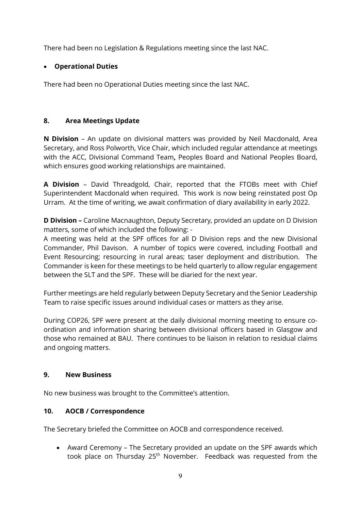There had been no Legislation & Regulations meeting since the last NAC.

## • **Operational Duties**

There had been no Operational Duties meeting since the last NAC.

## **8. Area Meetings Update**

**N Division** – An update on divisional matters was provided by Neil Macdonald, Area Secretary, and Ross Polworth, Vice Chair, which included regular attendance at meetings with the ACC, Divisional Command Team**,** Peoples Board and National Peoples Board, which ensures good working relationships are maintained.

**A Division** – David Threadgold, Chair, reported that the FTOBs meet with Chief Superintendent Macdonald when required. This work is now being reinstated post Op Urram. At the time of writing, we await confirmation of diary availability in early 2022.

**D Division –** Caroline Macnaughton, Deputy Secretary, provided an update on D Division matters, some of which included the following: -

A meeting was held at the SPF offices for all D Division reps and the new Divisional Commander, Phil Davison. A number of topics were covered, including Football and Event Resourcing; resourcing in rural areas; taser deployment and distribution. The Commander is keen for these meetings to be held quarterly to allow regular engagement between the SLT and the SPF. These will be diaried for the next year.

Further meetings are held regularly between Deputy Secretary and the Senior Leadership Team to raise specific issues around individual cases or matters as they arise.

During COP26, SPF were present at the daily divisional morning meeting to ensure coordination and information sharing between divisional officers based in Glasgow and those who remained at BAU. There continues to be liaison in relation to residual claims and ongoing matters.

## **9. New Business**

No new business was brought to the Committee's attention.

# **10. AOCB / Correspondence**

The Secretary briefed the Committee on AOCB and correspondence received.

• Award Ceremony – The Secretary provided an update on the SPF awards which took place on Thursday 25<sup>th</sup> November. Feedback was requested from the